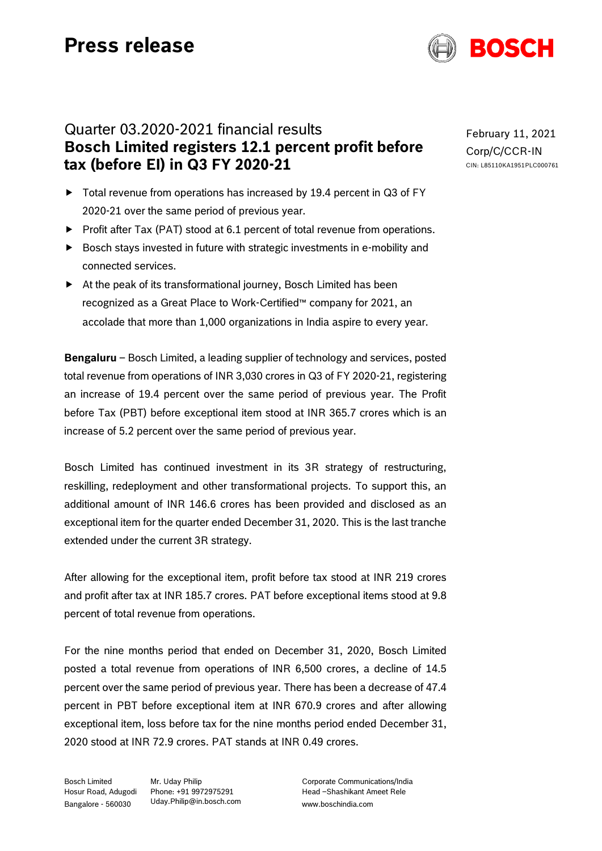

# Quarter 03.2020-2021 financial results **Bosch Limited registers 12.1 percent profit before tax (before EI) in Q3 FY 2020-21**

- ▶ Total revenue from operations has increased by 19.4 percent in Q3 of FY 2020-21 over the same period of previous year.
- Profit after Tax (PAT) stood at 6.1 percent of total revenue from operations.
- Bosch stays invested in future with strategic investments in e-mobility and connected services.
- At the peak of its transformational journey, Bosch Limited has been recognized as a Great Place to Work-Certified™ company for 2021, an accolade that more than 1,000 organizations in India aspire to every year.

**Bengaluru** – Bosch Limited, a leading supplier of technology and services, posted total revenue from operations of INR 3,030 crores in Q3 of FY 2020-21, registering an increase of 19.4 percent over the same period of previous year. The Profit before Tax (PBT) before exceptional item stood at INR 365.7 crores which is an increase of 5.2 percent over the same period of previous year.

Bosch Limited has continued investment in its 3R strategy of restructuring, reskilling, redeployment and other transformational projects. To support this, an additional amount of INR 146.6 crores has been provided and disclosed as an exceptional item for the quarter ended December 31, 2020. This is the last tranche extended under the current 3R strategy.

After allowing for the exceptional item, profit before tax stood at INR 219 crores and profit after tax at INR 185.7 crores. PAT before exceptional items stood at 9.8 percent of total revenue from operations.

For the nine months period that ended on December 31, 2020, Bosch Limited posted a total revenue from operations of INR 6,500 crores, a decline of 14.5 percent over the same period of previous year. There has been a decrease of 47.4 percent in PBT before exceptional item at INR 670.9 crores and after allowing exceptional item, loss before tax for the nine months period ended December 31, 2020 stood at INR 72.9 crores. PAT stands at INR 0.49 crores.

Bosch Limited Hosur Road, Adugodi Phone: +91 9972975291 Bangalore - 560030

Mr. Uday Philip [Uday.Philip@in.bosch.com](mailto:Uday.Philip@in.bosch.com) Corporate Communications/India Head –Shashikant Ameet Rele www.boschindia.com

February 11, 2021 Corp/C/CCR-IN CIN: L85110KA1951PLC000761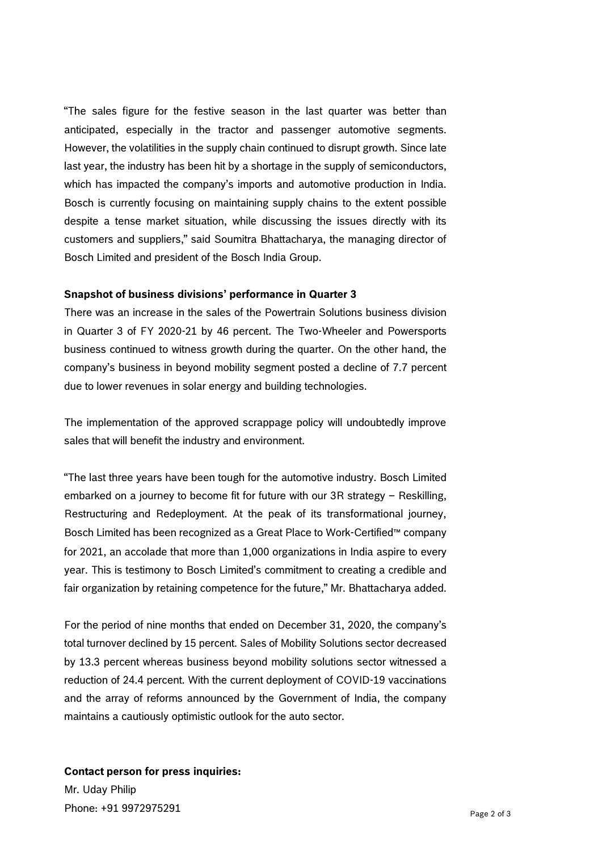"The sales figure for the festive season in the last quarter was better than anticipated, especially in the tractor and passenger automotive segments. However, the volatilities in the supply chain continued to disrupt growth. Since late last year, the industry has been hit by a shortage in the supply of semiconductors, which has impacted the company's imports and automotive production in India. Bosch is currently focusing on maintaining supply chains to the extent possible despite a tense market situation, while discussing the issues directly with its customers and suppliers," said Soumitra Bhattacharya, the managing director of Bosch Limited and president of the Bosch India Group.

## **Snapshot of business divisions' performance in Quarter 3**

There was an increase in the sales of the Powertrain Solutions business division in Quarter 3 of FY 2020-21 by 46 percent. The Two-Wheeler and Powersports business continued to witness growth during the quarter. On the other hand, the company's business in beyond mobility segment posted a decline of 7.7 percent due to lower revenues in solar energy and building technologies.

The implementation of the approved scrappage policy will undoubtedly improve sales that will benefit the industry and environment.

"The last three years have been tough for the automotive industry. Bosch Limited embarked on a journey to become fit for future with our 3R strategy – Reskilling, Restructuring and Redeployment. At the peak of its transformational journey, Bosch Limited has been recognized as a Great Place to Work-Certified™ company for 2021, an accolade that more than 1,000 organizations in India aspire to every year. This is testimony to Bosch Limited's commitment to creating a credible and fair organization by retaining competence for the future," Mr. Bhattacharya added.

For the period of nine months that ended on December 31, 2020, the company's total turnover declined by 15 percent. Sales of Mobility Solutions sector decreased by 13.3 percent whereas business beyond mobility solutions sector witnessed a reduction of 24.4 percent. With the current deployment of COVID-19 vaccinations and the array of reforms announced by the Government of India, the company maintains a cautiously optimistic outlook for the auto sector.

# **Contact person for press inquiries:**

Mr. Uday Philip Phone: +91 9972975291